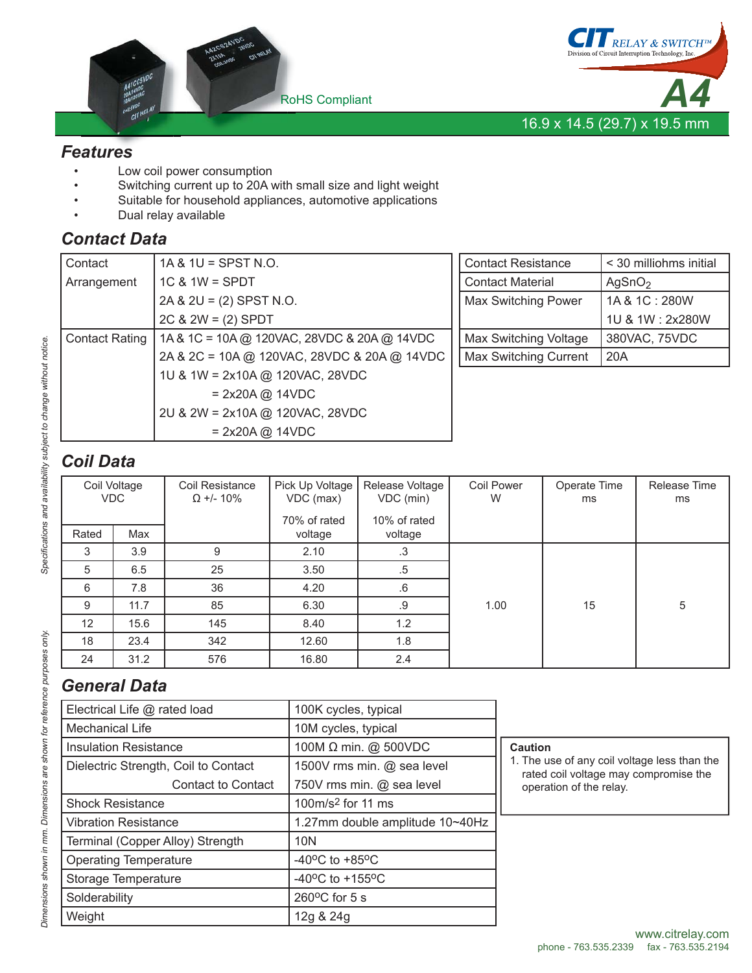



#### *Features*

- Low coil power consumption
	- Switching current up to 20A with small size and light weight
- Suitable for household appliances, automotive applications
- Dual relay available

### *Contact Data*

| Contact               | $1A & 1U = SPST N.O.$                       | <b>Contact Resistance</b>    | < 30 milliohms initial |
|-----------------------|---------------------------------------------|------------------------------|------------------------|
| Arrangement           | $1C$ & $1W =$ SPDT                          | <b>Contact Material</b>      | AgSnO <sub>2</sub>     |
|                       | $2A & 2U = (2)$ SPST N.O.                   | <b>Max Switching Power</b>   | 1A & 1C: 280W          |
|                       | $2C & 2W = (2)$ SPDT                        |                              | 1U & 1W: 2x280W        |
| <b>Contact Rating</b> | 1A & 1C = 10A @ 120VAC, 28VDC & 20A @ 14VDC | Max Switching Voltage        | 380VAC, 75VDC          |
|                       | 2A & 2C = 10A @ 120VAC, 28VDC & 20A @ 14VDC | <b>Max Switching Current</b> | 20A                    |
|                       | 1U & 1W = 2x10A @ 120VAC, 28VDC             |                              |                        |
|                       | $= 2x20A @ 14VDC$                           |                              |                        |
|                       | 2U & 2W = 2x10A @ 120VAC, 28VDC             |                              |                        |
|                       | $= 2x20A \omega$ 14VDC                      |                              |                        |

# *Coil Data*

|                   | Coil Voltage<br><b>VDC</b> | Coil Resistance<br>$\Omega$ +/- 10% | Pick Up Voltage<br>VDC (max) | Release Voltage<br>VDC (min) | Coil Power<br>W | Operate Time<br>ms | Release Time<br>ms |
|-------------------|----------------------------|-------------------------------------|------------------------------|------------------------------|-----------------|--------------------|--------------------|
|                   |                            |                                     | 70% of rated                 | 10% of rated                 |                 |                    |                    |
| Rated             | Max                        |                                     | voltage                      | voltage                      |                 |                    |                    |
| 3                 | 3.9                        | 9                                   | 2.10                         | .3                           |                 |                    |                    |
| 5                 | 6.5                        | 25                                  | 3.50                         | .5                           |                 |                    |                    |
| 6                 | 7.8                        | 36                                  | 4.20                         | $.6\,$                       |                 |                    |                    |
| 9                 | 11.7                       | 85                                  | 6.30                         | .9                           | 1.00            | 15                 | 5                  |
| $12 \overline{ }$ | 15.6                       | 145                                 | 8.40                         | 1.2                          |                 |                    |                    |
| 18                | 23.4                       | 342                                 | 12.60                        | 1.8                          |                 |                    |                    |
| 24                | 31.2                       | 576                                 | 16.80                        | 2.4                          |                 |                    |                    |

## *General Data*

| Electrical Life @ rated load         | 100K cycles, typical                  |                                                                                       |  |  |
|--------------------------------------|---------------------------------------|---------------------------------------------------------------------------------------|--|--|
| <b>Mechanical Life</b>               | 10M cycles, typical                   |                                                                                       |  |  |
| <b>Insulation Resistance</b>         | 100M Ω min. @ 500VDC                  | <b>Caution</b>                                                                        |  |  |
| Dielectric Strength, Coil to Contact | 1500V rms min. @ sea level            | 1. The use of any coil voltage less than the<br>rated coil voltage may compromise the |  |  |
| <b>Contact to Contact</b>            | 750V rms min. @ sea level             | operation of the relay.                                                               |  |  |
| <b>Shock Resistance</b>              | 100 $m/s2$ for 11 ms                  |                                                                                       |  |  |
| <b>Vibration Resistance</b>          | 1.27mm double amplitude 10~40Hz       |                                                                                       |  |  |
| Terminal (Copper Alloy) Strength     | 10N                                   |                                                                                       |  |  |
| <b>Operating Temperature</b>         | $-40^{\circ}$ C to $+85^{\circ}$ C    |                                                                                       |  |  |
| Storage Temperature                  | -40 $^{\circ}$ C to +155 $^{\circ}$ C |                                                                                       |  |  |
| Solderability                        | $260^{\circ}$ C for 5 s               |                                                                                       |  |  |
| Weight                               | 12g & 24g                             |                                                                                       |  |  |